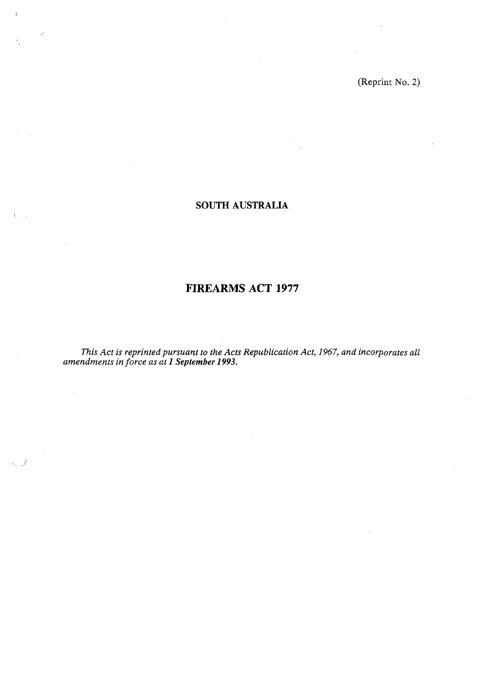(Reprint No. 2)

# **SOUTH AUSTRALIA**

 $\frac{1}{2}$ 

# **FIREARMS ACT 1977**

*This Act is reprinted pursuant to the Acts Republication Act, 1967, and incorporates all amendments in force as at 1 September 1993.*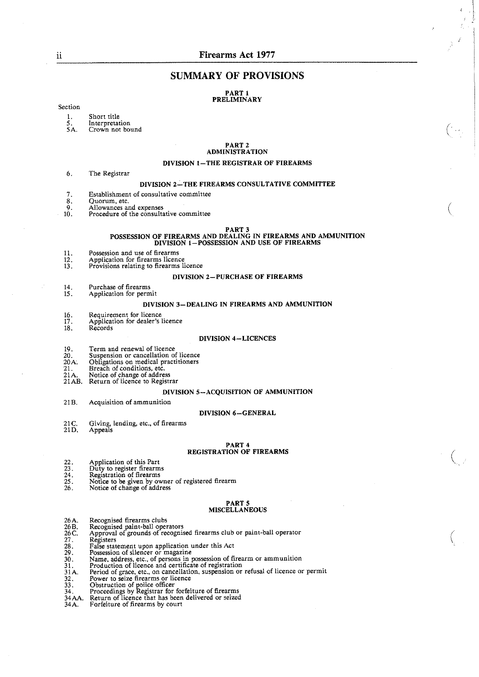I

 $\overline{\mathcal{L}}$ 

# **SUMMARY OF PROVISIONS**

#### **PART 1 PRELIMINARY**

#### Section

1. Short title<br>5. Interpretat<br>5A. Crown not

- Interpretation<br>Crown not bound
- 

#### **PART 2 ADMINISTRATION**

#### **DIVISION I-THE REGISTRAR OF FIREARMS**

*6.* The Registrar

#### **DIVISION 2-THE FIREARMS CONSULTATIVE COMMITTEE**

- 7. Establishment of consultative committee<br>8. Quorum, etc.
- 
- 8. Quorum, etc.<br><sup>0</sup> Allowances a
- 9. Allowances and expenses<br>10. Procedure of the consulta Procedure of the consultative committee

#### **PART 3**

# POSSESSION OF FIREARMS AND DEALING IN FIREARMS AND AMMUNITION DIVISION 1-POSSESSION AND USE OF FIREARMS

- Possession and use of firearms 11.
- $12.$
- Application for firearms licence<br>Provisions relating to firearms licence  $13<sub>1</sub>$

#### **DIVISION 2-PURCHASE OF FIREARMS**

- Purchase of firearms 14.
- Application for permit  $15<sup>2</sup>$

#### **DIVISION 3-DEALING IN FIREARMS AND AMMUNITION**

- $16.$ Requirement for licence Application for dealer's licence 17.
- 18. Records

#### **DIVISION 4-LICENCES**

- 
- 19. Term and renewal of licence 20. Suspension or cancellation of licence
- 20A. Obligations on medical practitioners 21. Breach of conditions. etc.
- 
- 
- 21A. Notice of change of address 2lAB. Return of licence to Registrar

#### **DIVISION 5-ACQUISITION OF AMMUNITION**

21B. Acquisition of ammunition

#### **DIVISION 6-GENERAL**

- 21 C. Giving, lending, etc., of firearms
- 21D. Appeals

#### **PART 4 REGISTRATION OF FIREARMS**

- 
- 
- 22. Application of this Part 23. Duty to register firearms 24. Regstration of firearms
- 25. Notice to be given by owner of registered firearm *26.* Notice of change of address
- 

#### **PART 5**

#### **MISCELLANEOUS**

- 
- ${}^{26}_{26}$  B. Recognised firearms clubs Recognised paint-ball operators
- $26C$ .<br> $27.28$ .<br> $29.30$ .<br> $31.31$ A. Approval of grounds of recognised firearms club or paint-ball operator
- 
- Registers<br>False statement upon application under this Act
- 
- 
- 
- False statement upon application under this Act<br>Possession of silencer or magazine<br>Name, address, etc., of persons in possession of firearm or ammunition<br>Production of licence and certificate of registration<br>Period of grac  $32.$ Power to seize firearms or licence
- $\overline{33}$ .
- Obstruction of police officer<br>Proceedings by Registrar for forfeiture of firearms<sub>.</sub>
- 34. Return of licence that has been delivered or seized 34 AA.
- 34A. Forfeiture of firearms by court

. .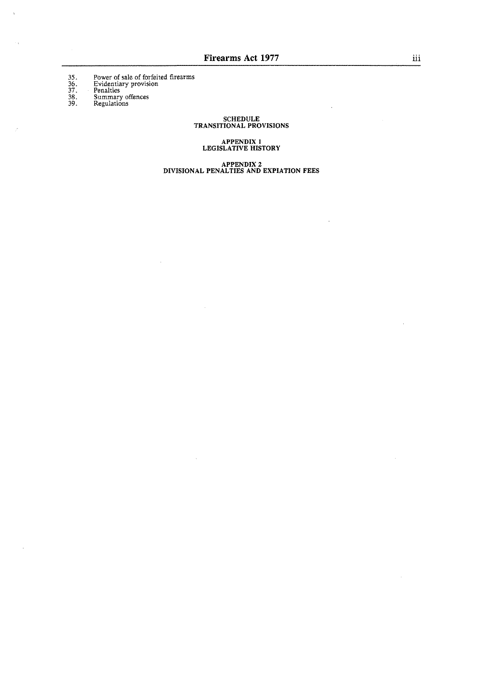Power of sale of forfeited firearms<br>Evidentiary provision<br>Penalties<br>Summary offences<br>Regulations

 $\hat{\alpha}$ 

 $\bar{z}$ 

 $35.36.37.38.39.$ 

 $\hat{\lambda}$ 

 $\mathcal{A}_{\mathcal{A}}$ 

 $\tilde{\vec{r}}$ 

**SCHEDULE TRANSITIONAL PROVISIONS**   $\bar{z}$ 

 $\bar{z}$ 

**APPENDIX i LEGISLATIVE HISTORY** 

**APPENDIX 2 DIVISIONAL PENALTIES AND EXPIATION FEES** 

 $\bar{z}$ 

 $\bar{z}$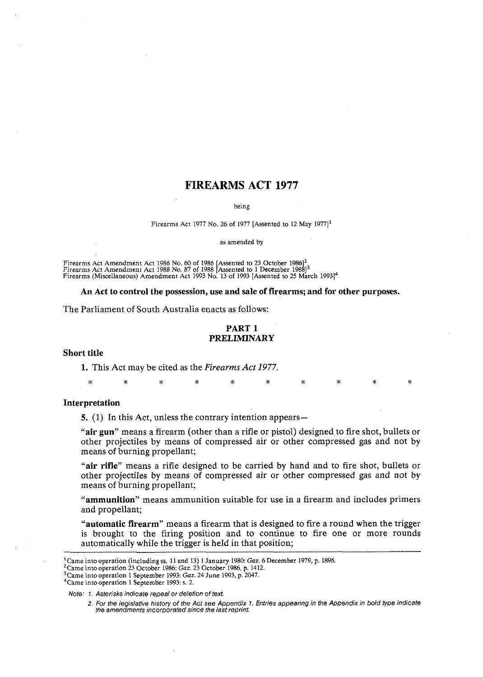# **FIREARMS ACT 1977**

*being* 

#### *Firearms Act 1977 No. 26 of 1977 [Assented to 12 May 1977]<sup>1</sup>*

as *amended by* 

Firearms Act Amendment Act 1986 No. 60 of 1986 [Assented to 23 October 1986]<sup>2</sup><br>Firearms Act Amendment Act 1988 No. 87 of 1988 [Assented to 1 December 1988]<sup>3</sup><br>Firearms (Miscellaneous) Amendment Act 1993 No. 13 of 1993 [As

#### **An Act to control the possession, use and sale of firearms; and for other purposes.**

The Parliament of South Australia enacts as follows:

### **PART 1 PRELIMINARY**

#### **Short title**

**1.** This Act may be cited as the Firearms *Act* 1977.

\* \* \* \* \* \* \*

#### **Interpretation**

5. (1) In this Act, unless the contrary intention appears—

**"air gun"** means a firearm (other than a rifle or pistol) designed to fire shot, bullets or other projectiles by means of compressed air or other compressed gas and not by means of burning propellant;

**"air rifle"** means a rifle designed to be carried by hand and to fire shot, bullets or other projectiles by means of compressed air or other compressed gas and not by means of burning propellant;

**"ammunition"** means ammunition suitable for use in a firearm and includes primers and propellant;

**"automatic firearm"** means a firearm that is designed to fire a round when the trigger is brought to the firing position and to continue to fire one or more rounds automatically while the trigger is held in that position;

*'Came into operation* 1 *September* 1993: *s.* 2.

*<sup>&#</sup>x27;Came into operation (including* **5s.** I1 *and* 13) 1 *January* 1980: Gaz. 6 *December* 1979, p. 1896.

*<sup>&#</sup>x27;Came into operation* 23 *October* 1986: Gaz. 23 *October* 1986, *p.* 1412.

*<sup>3~</sup>ame into operation* 1 *September* 1993: Gaz. 24 *June* 1993, *p.* 2047.

*Note:* 1. *Asterisks indicate reoeal or deletion of text.* ,

*<sup>2.</sup> For the legislative history of the Act see Appendix* **1.** *Entries appearing in the Appendix in bold type indicate*  the amendments incorporated since the last reprint.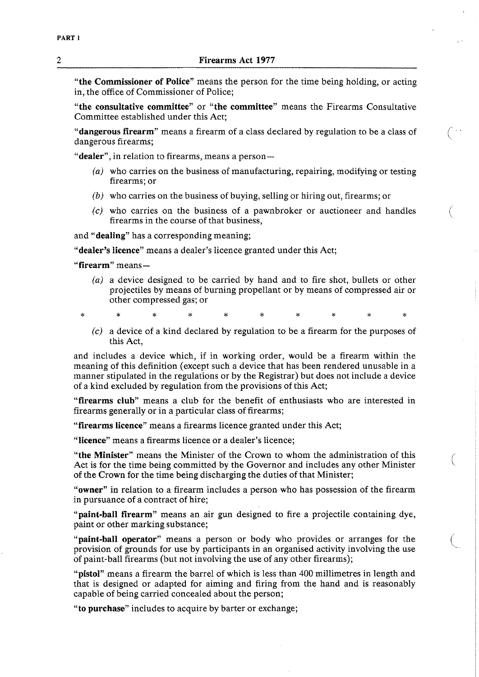### **2 Firearms Act 1977**

**"the Commissioner of Police"** means the person for the time being holding, or acting in; the office of Commissioner of Police;

**"the consultative committee"** or **"the committee"** means the Firearms Consultative Committee established under this Act;

**"dangerous firearm"** means a firearm of a class declared by regulation to be a class of dangerous firearms;

**"dealer",** in relation to firearms, means a person-

- (a) who carries on the business of manufacturing, repairing, modifying or testing firearms; or
- (b) who carries on the business of buying, selling or hiring out, firearms; or
- (c) who carries on the business of a pawnbroker or auctioneer and handles firearms in the course of that business,

and **"dealing"** has a corresponding meaning;

**"dealer's licence"** means a dealer's licence granted under this Act;

**"firearm"** means-

(a) a device designed to be carried by hand and to fire shot, bullets or other projectiles by means of burning propellant or by means of compressed air or other compressed gas; or

 $\star$ 

(c) a device of a kind declared by regulation to be a firearm for the purposes of this Act,

and includes a device which, if in working order, would be a firearm within the meaning of this definition (except such a device that has been rendered unusable in a manner stipulated in the regulations or by the Registrar) but does not include a device of a kind excluded by regulation from the provisions of this Act;

**"firearms club"** means a club for the benefit of enthusiasts who are interested in firearms generally or in a particular class of firearms;

**"firearms licence"** means a firearms licence granted under this Act;

**"licence"** means a firearms licence or a dealer's licence;

**"the Minister"** means the Minister of the Crown to whom the administration of this Act is for the time being committed by the Governor and includes any other Minister of the Crown for the time being discharging the duties of that Minister;

**"owner"** in relation to a firearm includes a person who has possession of the firearm in pursuance of a contract of hire;

**"paint-ball firearm"** means an air gun designed to fire a projectile containing dye, paint or other marking substance;

**"paint-ball operator"** means a person or body who provides or arranges for the provision of grounds for use by participants in an organised activity involving the use of paint-ball firearms (but not involving the use of any other firearms);

**"pistol"** means a firearm the barrel of which is less than 400 millimetres in length and that is designed or adapted for aiming and firing from the hand and is reasonably capable of being carried concealed about the person;

**"to purchase"** includes to acquire by barter or exchange;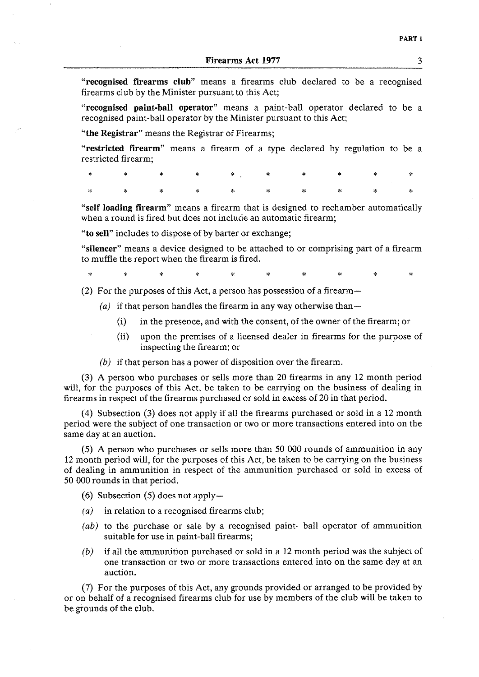"recognised firearms club" means a firearms club declared to be a recognised firearms club by the Minister pursuant to this Act;

"recognised paint-ball operator" means a paint-ball operator declared to be a recognised paint-ball operator by the Minister pursuant to this Act;

"the Registrar" means the Registrar of Firearms;

"restricted firearm" means a firearm of a type declared by regulation to be a restricted firearm;

|  |  | $\begin{array}{ccccccccccccccccccccc} \ast & \times & \times & \times & \times & \times & \times & \times & \times & \times & \times & \times \end{array}$ |  |  |
|--|--|------------------------------------------------------------------------------------------------------------------------------------------------------------|--|--|

"self loading firearm" means a firearm that is designed to rechamber automatically when a round is fired but does not include an automatic firearm;

"to sell" includes to dispose of by barter or exchange;

"silencer" means a device designed to be attached to or comprising part of a firearm to muffle the report when the firearm is fired.

.<br>Sk

(2) For the purposes of this Act, a person has possession of a firearm-

- $(a)$  if that person handles the firearm in any way otherwise than-
	- (i) in the presence, and with the consent, of the owner of the firearm; or
	- (ii) upon the premises of a licensed dealer in firearms for the purpose of inspecting the firearm; or
- *(b)* if that person has a power of disposition over the firearm.

**(3)** A person who purchases or sells more than 20 firearms in any 12 month period will, for the purposes of this Act, be taken to be carrying on the business of dealing in firearms in respect of the firearms purchased or sold in excess of 20 in that period.

(4) Subsection (3) does not apply if all the firearms purchased or sold in a 12 month period were the subject of one transaction or two or more transactions entered into on the same day at an auction.

(5) A person who purchases or sells more than 50 000 rounds of ammunition in any 12 month period will, for the purposes of this Act, be taken to be carrying on the business of dealing in ammunition in respect of the ammunition purchased or sold in excess of 50 000 rounds in that period.

(6) Subsection  $(5)$  does not apply-

- $(a)$  in relation to a recognised firearms club;
- *(ab)* to the purchase or sale by a recognised paint- ball operator of ammunition suitable for use in paint-ball firearms;
- *(b)* if all the ammunition purchased or sold in a 12 month period was the subject of one transaction or two or more transactions entered into on the same day at an auction.

(7) For the purposes of this Act, any grounds provided or arranged to be provided by or on behalf of a recognised firearms club for use by members of the club will be taken to be grounds of the club.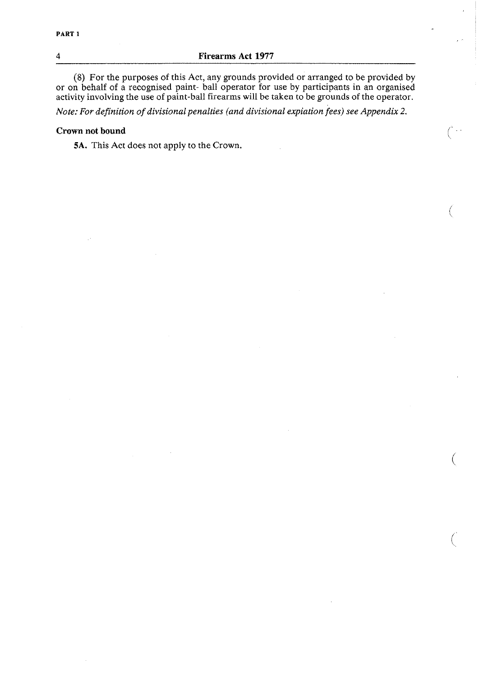### **4 Firearms Act 1977**

(8) For the purposes of this Act, any grounds provided or arranged to be provided by or on behalf of a recognised paint- ball operator for use by participants in an organised activity involving the use of paint-ball firearms will be taken to be grounds of the operator.

*Note: For definition of divisional penalties (and divisional expiation fees) see Appendix 2.* 

### **Crown not bound**

**5A.** This Act does not apply to the Crown.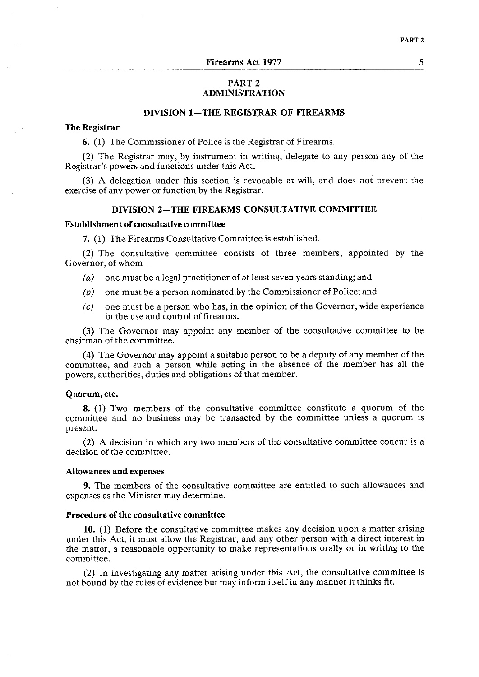### **PART 2 ADMINISTRATION**

### **DIVISION 1 -THE REGISTRAR OF FIREARMS**

### **The Registrar**

6. (1) The Commissioner of Police is the Registrar of Firearms.

(2) The Registrar may, by instrument in writing, delegate to any person any of the Registrar's powers and functions under this Act.

(3) A delegation under this section is revocable at will, and does not prevent the exercise of any power or function by the Registrar.

#### **DIVISION 2-THE FIREARMS CONSULTATIVE COMMITTEE**

#### **Establishment of consultative committee**

**7.** (1) The Firearms Consultative Committee is established.

(2) The consultative committee consists of three members, appointed by the Governor, of whom-

- $(a)$  one must be a legal practitioner of at least seven years standing; and
- *(b)* one must be a person nominated by the Commissioner of Police; and
- $(c)$  one must be a person who has, in the opinion of the Governor, wide experience in the use and control of firearms.

(3) The Governor may appoint any member of the consultative committee to be chairman of the committee.

(4) The Governor may appoint a suitable person to be a deputy of any member of the committee, and such a person while acting in the absence of the member has all the powers, authorities, duties and obligations of that member.

#### **Quorum, etc.**

8. (1) Two members of the consultative committee constitute a quorum of the committee and no business may be transacted by the committee unless a quorum is present.

(2) A decision in which any two members of the consultative committee concur is a decision of the committee.

#### **Allowances and expenses**

**9.** The members of the consultative committee are entitled to such allowances and expenses as the Minister may determine.

#### **Procedure of the consultative committee**

**10.** (1) Before the consultative committee makes any decision upon a matter arising under this Act, it must allow the Registrar, and any other person with a direct interest in the matter, a reasonable opportunity to make representations orally or in writing to the committee.

(2) In investigating any matter arising under this Act, the consultative committee is not bound by the rules of evidence but may inform itself in any manner it thinks fit.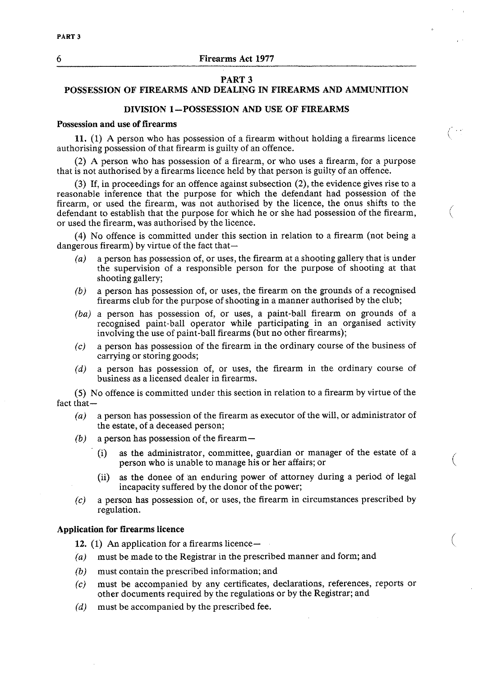### **PART 3**

# **POSSESSION OF FIREARMS AND DEALING IN FIREARMS AND AMMUNITION**

### **DIVISION 1 -POSSESSION AND USE OF FIREARMS**

#### **Possession and use of firearms**

**11.** (1) A person who has possession of a firearm without holding a firearms licence authorising possession of that firearm is guilty of an offence.

(2) A person who has possession of a firearm, or who uses a firearm, for a purpose that is not authorised by a firearms licence held by that person is guilty of an offence.

**(3)** If, in proceedings for an offence against subsection (2), the evidence gives rise to a reasonable inference that the purpose for which the defendant had possession of the firearm, or used the firearm, was not authorised by the licence, the onus shifts to the defendant to establish that the purpose for which he or she had possession of the firearm, or used the firearm, was authorised by the licence.

(4) No offence is committed under this section in relation to a firearm (not being a dangerous firearm) by virtue of the fact that-

- *(a)* a person has possession of, or uses, the firearm at a shooting gallery that is under the supervision of a responsible person for the purpose of shooting at that shooting gallery;
- *(b)* a person has possession of, or uses, the firearm on the grounds of a recognised firearms club for the purpose of shooting in a manner authorised by the club;
- *(ba)* a person has possession of, or uses, a paint-ball firearm on grounds of a recognised paint-ball operator while participating in an organised activity involving the use of paint-ball firearms (but no other firearms);
- *(c)* a person has possession of the firearm in the ordinary course of the business of carrying or storing goods;
- *(d)* a person has possession of, or uses, the firearm in the ordinary course of business as a licensed dealer in firearms.

(5) No offence is committed under this section in relation to a firearm by virtue of the fact that-

- **(a)** a person has possession of the firearm as executor of the will, or administrator of the estate, of a deceased person;
- *(b)* a person has possession of the firearm-
	- (i) as the administrator, committee, guardian or manager of the estate of a person who is unable to manage his or her affairs; or
	- (ii) as the donee of an enduring power of attorney during a period of legal incapacity suffered by the donor of the power;
- *(c)* a person has possession of, or uses, the firearm in circumstances prescribed by regulation.

### **Application for firearms licence**

**12.** (1) An application for a firearms licence-

- (a) must be made to the Registrar in the prescribed manner and form; and
- **(b)** must contain the prescribed information; and
- *(c)* must be accompanied by any certificates, declarations, references, reports or other documents required by the regulations or by the Registrar; and
- *(d)* must be accompanied by the prescribed fee.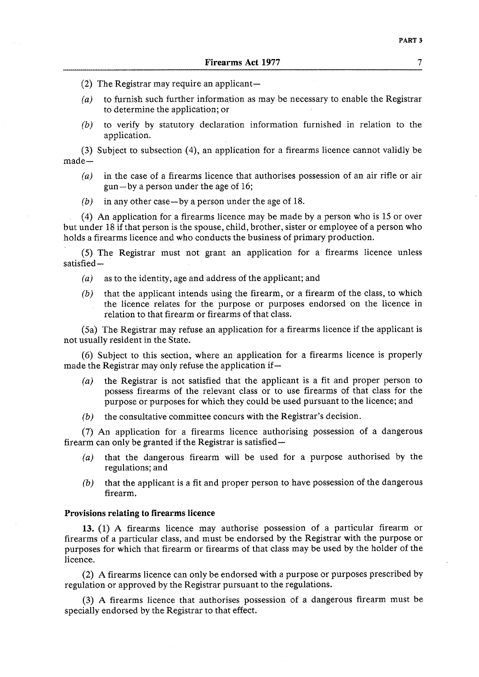- (2) The Registrar may require an applicant-
- *(a)* to furnish such further information as may be necessary to enable the Registrar to determine the application; or
- *(b)* to verify by statutory declaration information furnished in relation to the application.

(3) Subject to subsection (4), an application for a firearms licence cannot validly be made-

- *(a)* in the case of a firearms licence that authorises possession of an air rifle or air gun-by a person under the age of 16;
- *(b)* in any other case-by a person under the age of 18.

(4) An application for a firearms licence may be made by a person who is 15 or over but under 18 if that person is the spouse, child, brother, sister or employee of a person who holds a firearms licence and who conducts the business of primary production.

(5) The Registrar must not grant an application for a firearms licence unless satisfied-

- *(a)* as to the identity, age and address of the applicant; and
- *(b)* that the applicant intends using the firearm, or a firearm of the class, to which the licence relates for the purpose or purposes endorsed on the licence in relation to that firearm or firearms of that class.

(5a) The Registrar may refuse an application for a firearms licence if the applicant is not usually resident in the State.

(6) Subject to this section, where an application for a firearms licence is properly made the Registrar may only refuse the application if-

- *(a)* the Registrar is not satisfied that the applicant is a fit and proper person to possess firearms of the relevant class or to use firearms of that class for the purpose or purposes for which they could be used pursuant to the licence; and
- *(6)* the consultative committee concurs with the Registrar's decision.

(7) An application for a firearms licence authorising possession of a dangerous firearm can only be granted if the Registrar is satisfied-

- *(a)* that the dangerous firearm will be used for a purpose authorised by the regulations; and
- **(b)** that the applicant is a fit and proper person to have possession of the dangerous firearm.

#### Provisions relating to firearms licence

**13. (1)** A firearms licence may authorise possession of a particular firearm or firearms of a particular class, and must be endorsed by the Registrar with the purpose or purposes for which that firearm or firearms of that class may be used by the holder of the licence.

(2) A firearms licence can only be endorsed with a purpose or purposes prescribed by regulation or approved by the Registrar pursuant to the regulations.

(3) **A** firearms licence that authorises possession of a dangerous firearm must be specially endorsed by the Registrar to that effect.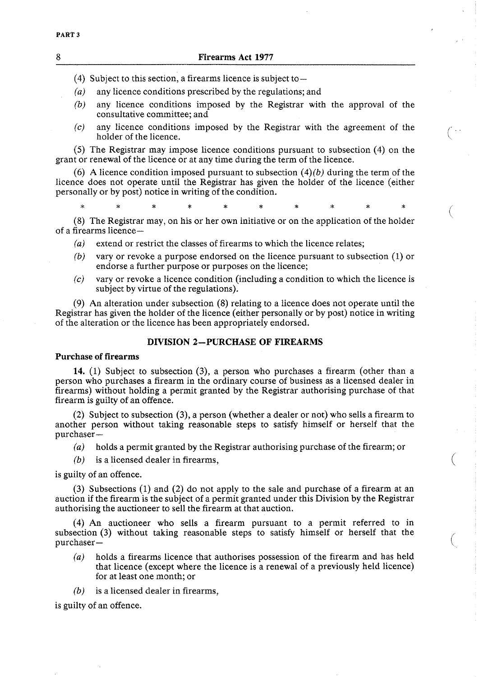### 8 **Firearms Act 1977**

- (4) Subject to this section, a firearms licence is subject to  $-$
- *(a)* any licence conditions prescribed by the regulations; and
- *(b)* any licence conditions imposed by the Registrar with the approval of the consultative committee; and
- *(c)* any licence conditions imposed by the Registrar with the agreement of the holder of the licence.

(5) The Registrar may impose licence conditions pursuant to subsection (4) on the grant or renewal of the licence or at any time during the term of the licence.

(6) A licence condition imposed pursuant to subsection  $(4)(b)$  during the term of the licence does not operate until the Registrar has given the holder of the licence (either personally or by post) notice in writing of the condition.

(8) The Registrar may, on his or her own initiative or on the application of the holder of a firearms licence-

- *(a)* extend or restrict the classes of firearms to which the licence relates;
- *(b)* vary or revoke a purpose endorsed on the licence pursuant to subsection (1) or endorse a further purpose or purposes on the licence;
- *(c)* vary or revoke a licence condition (including a condition to which the licence is subject by virtue of the regulations).

(9) An alteration under subsection (8) relating to a licence does not operate until the Registrar has given the holder of the licence (either personally or by post) notice in writing of the alteration or the licence has been appropriately endorsed.

### **DIVISION 2-PURCHASE OF FIREARMS**

#### **Purchase of firearms**

**14.** (1) Subject to subsection (3), a person who purchases a firearm (other than a person who purchases a firearm in the ordinary course of business as a licensed dealer in firearms) without holding a permit granted by the Registrar authorising purchase of that firearm is guilty of an offence.

(2) Subject to subsection (3), a person (whether a dealer or not) who sells a firearm to another person without taking reasonable steps to satisfy himself or herself that the purchaser-

- *(a)* holds a permit granted by the Registrar authorising purchase of the firearm; or
- *(b)* is a licensed dealer in firearms,

is guilty of an offence.

(3) Subsections (1) and (2) do not apply to the sale and purchase of a firearm at an auction if the firearm is the subject of a permit granted under this Division by the Registrar authorising the auctioneer to sell the firearm at that auction.

(4) An auctioneer who sells a firearm pursuant to a permit referred to in subsection **(3)** without taking reasonable steps to satisfy himself or herself that the purchaser-

- *(a)* holds a firearms licence that authorises possession of the firearm and has held that licence (except where the licence is a renewal of a previously held licence) for at least one month; or
- *(b)* is a licensed dealer in firearms,

is guilty of an offence.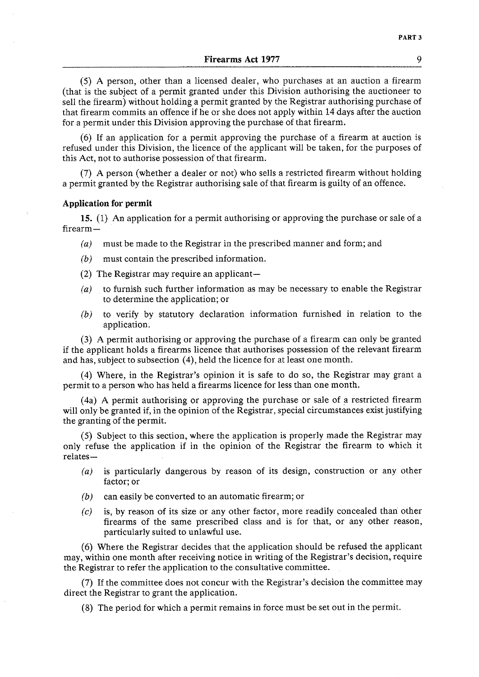(5) A person, other than a licensed dealer, who purchases at an auction a firearm (that is the subject of a permit granted under this Division authorising the auctioneer to sell the firearm) without holding a permit granted by the Registrar authorising purchase of that firearm commits an offence if he or she does not apply within 14days after the auction for a permit under this Division approving the purchase of that firearm.

(6) If an application for a permit approving the purchase of a firearm at auction is refused under this Division, the licence of the applicant will be taken, for the purposes of this Act, not to authorise possession of that firearm.

(7) A person (whether a dealer or not) who sells a restricted firearm without holding a permit granted by the Registrar authorising sale of that firearm is guilty of an offence.

#### **Application for permit**

**15.** (1) An application for a permit authorising or approving the purchase or sale of a firearm-

- *(a)* must be made to the Registrar in the prescribed manner and form; and
- *(b)* must contain the prescribed information.
- (2) The Registrar may require an applicant-
- *(a)* to furnish such further information as may be necessary to enable the Registrar to determine the application; or
- *(b)* to verify by statutory declaration information furnished in relation to the application.

**(3)** A permit authorising or approving the purchase of a firearm can only be granted if the applicant holds a firearms licence that authorises possession of the relevant firearm and has, subject to subsection (4), held the licence for at least one month.

(4) Where, in the Registrar's opinion it is safe to do so, the Registrar may grant a permit to a person who has held a firearms licence for less than one month.

(4a) A permit authorising or approving the purchase or sale of a restricted firearm will only be granted if, in the opinion of the Registrar, special circumstances exist justifying the granting of the permit.

(5) Subject to this section, where the application is properly made the Registrar may only refuse the application if in the opinion of the Registrar the firearm to which it relates-

- (a) is particularly dangerous by reason of its design, construction or any other factor; or
- *(b)* can easily be converted to an automatic firearm; or
- **(c)** is, by reason of its size or any other factor, more readily concealed than other firearms of the same prescribed class and is for that, or any other reason, particularly suited to unlawful use.

(6) Where the Registrar decides that the application should be refused the applicant may, within one month after receiving notice in writing of the Registrar's decision, require the Registrar to refer the application to the consultative committee.

(7) If the committee does not concur with the Registrar's decision the committee may direct the Registrar to grant the application.

(8) The period for which a permit remains in force must be set out in the permit.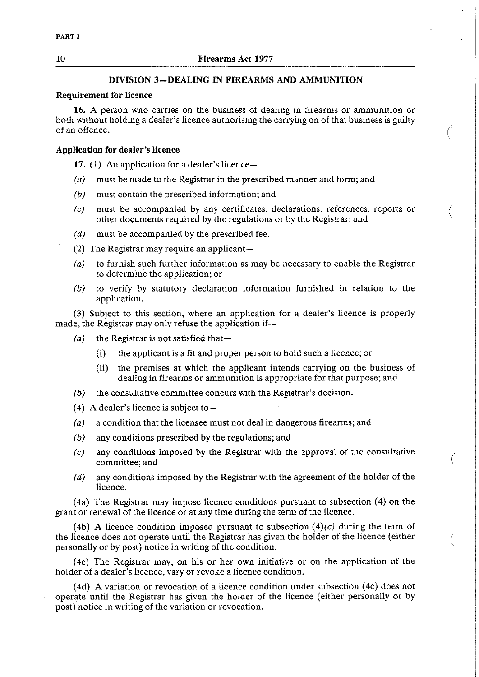### **DIVISION 3-DEALING IN FIREARMS AND AMMUNITION**

### **Requirement for licence**

**16.** A person who carries on the business of dealing in firearms or ammunition or both without holding a dealer's licence authorising the carrying on of that business is guilty of an offence.

#### **Application for dealer's licence**

**17.** (1) An application for a dealer's licence-

- *(a)* must be made to the Registrar in the prescribed manner and form; and
- *(b)* must contain the prescribed information; and
- *(c)* must be accompanied by any certificates, declarations, references, reports or other documents required by the regulations or by the Registrar; and
- (d) must be accompanied by the prescribed fee.
- (2) The Registrar may require an applicant-
- *(a)* to furnish such further information as may be necessary to enable the Registrar to determine the application; or
- *(b)* to verify by statutory declaration information furnished in relation to the application.

**(3)** Subject to this section, where an application for a dealer's licence is properly made, the Registrar may only refuse the application if-

- $(a)$  the Registrar is not satisfied that-
	- (i) the applicant is a fit and proper person to hold such a licence; or
	- (ii) the premises at which the applicant intends carrying on the business of dealing in firearms or ammunition is appropriate for that purpose; and
- *(b)* the consultative committee concurs with the Registrar's decision.
- (4) **A** dealer's licence is subject to-
- *(a)* a condition that the licensee must not deal in dangerous firearms; and
- *(b)* any conditions prescribed by the regulations; and
- *(c)* any conditions imposed by the Registrar with the approval of the consultative committee; and
- (d) any conditions imposed by the Registrar with the agreement of the holder of the licence.

(4a) The Registrar may impose licence conditions pursuant to subsection (4) on the grant or renewal of the licence or at any time during the term of the licence.

(4b) A licence condition imposed pursuant to subsection  $(4)(c)$  during the term of the licence does not operate until the Registrar has given the holder of the licence (either personally or by post) notice in writing of the condition.

(4c) The Registrar may, on his or her own initiative or on the application of the holder of a dealer's licence, vary or revoke a licence condition.

(4d) A variation or revocation of a licence condition under subsection (4c) does not operate until the Registrar has given the holder of the licence (either personally or by post) notice in writing of the variation or revocation.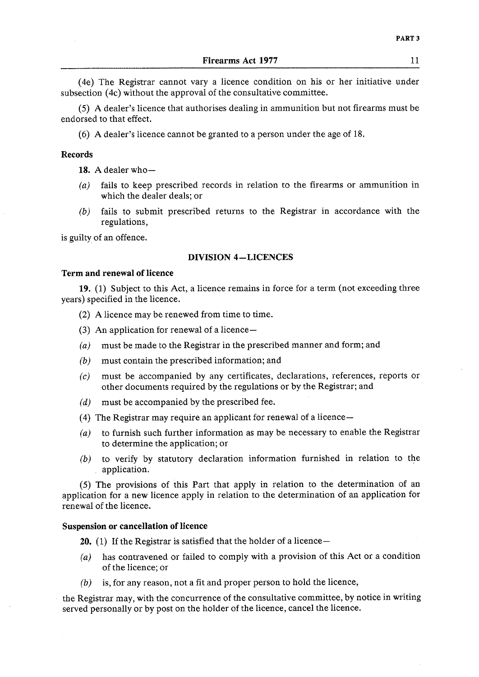(4e) The Registrar cannot vary a licence condition on his or her initiative under subsection (4c) without the approval of the consultative committee.

(5) A dealer's licence that authorises dealing in ammunition but not firearms must be endorsed to that effect.

(6) A dealer's licence cannot be granted to a person under the age of 18.

#### Records

**1s.** A dealer who-

- *(a)* fails to keep prescribed records in relation to the firearms or ammunition in which the dealer deals; or
- *(6)* fails to submit prescribed returns to the Registrar in accordance with the regulations,

is guilty of an offence.

### DIVISION 4-LICENCES

#### Term and renewal of licence

**19.** (1) Subject to this Act, a licence remains in force for a term (not exceeding three years) specified in the licence.

(2) A licence may be renewed from time to time.

- **(3)** An application for renewal of a licence-
- *(a)* must be made to the Registrar in the prescribed manner and form; and
- *(b)* must contain the prescribed information; and
- **(c)** must be accompanied by any certificates, declarations, references, reports or other documents required by the regulations or by the Registrar; and
- (d) must be accompanied by the prescribed fee.
- (4) The Registrar may require an applicant for renewal of a licence-
- *(a)* to furnish such further information as may be necessary to enable the Registrar to determine the application; or
- *(b)* to verify by statutory declaration information furnished in relation to the application.

(5) The provisions of this Part that apply in relation to the determination of an application for a new licence apply in relation to the determination of an application for renewal of the licence.

#### Suspension or cancellation of licence

**20.** (1) If the Registrar is satisfied that the holder of a licence-

- *(a)* has contravened or failed to comply with a provision of this Act or a condition of the licence; or
- *(b)* is, for any reason, not a fit and proper person to hold the licence,

the Registrar may, with the concurrence of the consultative committee, by notice in writing served personally or by post on the holder of the licence, cancel the licence.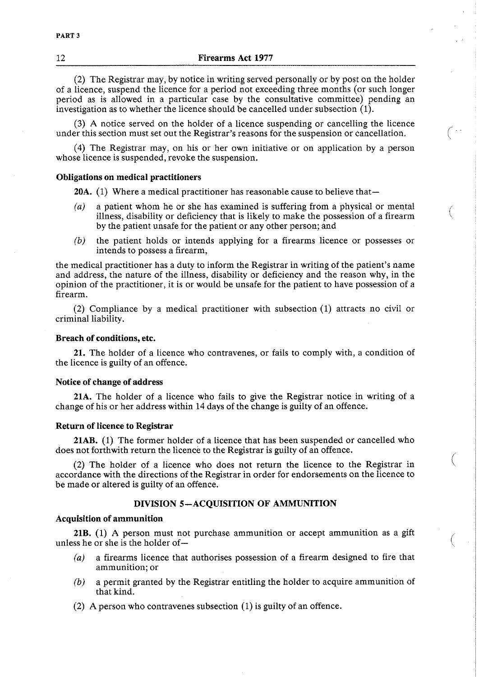(2) The Registrar may, by notice in writing served personally or by post on the holder of a licence, suspend the licence for a period not exceeding three months (or such longer period as is allowed in a particular case by the consultative committee) pending an investigation as to whether the licence should be cancelled under subsection (I).

**(3)** A notice served on the holder of a licence suspending or cancelling the licence under this section must set out the Registrar's reasons for the suspension or cancellation.

(4) The Registrar may, on his or her own initiative or on application by a person whose licence is suspended, revoke the suspension.

### Obligations on medical practitioners

20A. (1) Where a medical practitioner has reasonable cause to believe that-

- (a) a patient whom he or she has examined is suffering from a physical or mental illness, disability or deficiency that is likely to make the possession of a firearm by the patient unsafe for the patient or any other person; and
- *(b)* the patient holds or intends applying for a firearms licence or possesses or intends to possess a firearm,

the medical practitioner has a duty to inform the Registrar in writing of the patient's name and address, the nature of the illness, disability or deficiency and the reason why, in the opinion of the practitioner, it is or would be unsafe for the patient to have possession of a firearm.

(2) Compliance by a medical practitioner with subsection (1) attracts no civil or criminal liability.

#### Breach of conditions, etc.

21. The holder of a licence who contravenes, or fails to comply with, a condition of the licence is guilty of an offence.

#### Notice of change of address

21A. The holder of a licence who fails to give the Registrar notice in writing of a change of his or her address within 14 days of the change is guilty of an offence.

#### Return of licence to Registrar

21AB. (1) The former holder of a licence that has been suspended or cancelled who does not forthwith return the licence to the Registrar is guilty of an offence.

(2) The holder of a licence who does not return the licence to the Registrar in accordance with the directions of the Registrar in order for endorsements on the licence to be made or altered is guilty of an offence.

#### DIVISION 5-ACQUISITION OF AMMUNITION

#### Acquisition of ammunition

21B. (1) A person must not purchase ammunition or accept ammunition as a gift unless he or she is the holder of-

- **(a)** a firearms licence that authorises possession of a firearm designed to fire that ammunition; or
- *(b)* a permit granted by the Registrar entitling the holder to acquire ammunition of that kind.
- (2) A person who contravenes subsection (1) is guilty of an offence.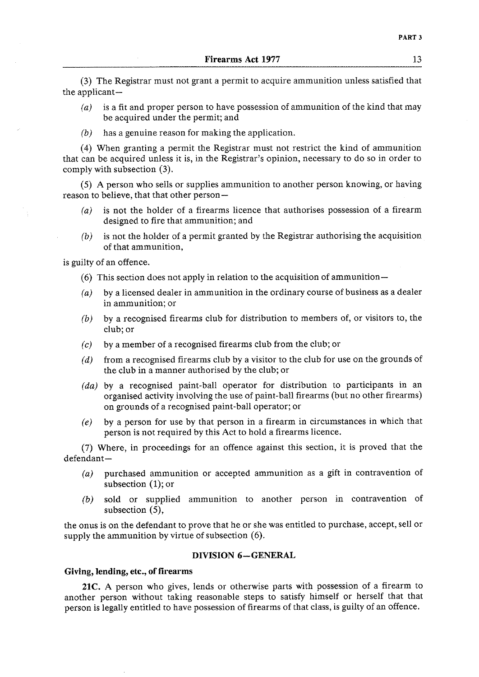(3) The Registrar must not grant a permit to acquire ammunition unless satisfied that the applicant-

- *(a)* is a fit and proper person to have possession of ammunition of the kind that may be acquired under the permit; and
- *(b)* has a genuine reason for making the application.

(4) When granting a permit the Registrar must not restrict the kind of ammunition that can be acquired unless it is, in the Registrar's opinion, necessary to do so in order to comply with subsection (3).

(5) A person who sells or supplies ammunition to another person knowing, or having reason to believe, that that other person-

- *(a)* is not the holder of a firearms licence that authorises possession of a firearm designed to fire that ammunition; and
- *(b)* is not the holder of a permit granted by the Registrar authorising the acquisition of that ammunition,

is guilty of an offence.

- (6) This section does not apply in relation to the acquisition of ammunition-
- *(a)* by a licensed dealer in ammunition in the ordinary course of business as a dealer in ammunition; or
- *(b)* by a recognised firearms club for distribution to members of, or visitors to, the club; or
- **(c)** by a member of a recognised firearms club from the club; or
- *(d)* from a recognised firearms club by a visitor to the club for use on the grounds of the club in a manner authorised by the club; or
- *(da)* by a recognised paint-ball operator for distribution to participants in an organised activity involving the use of paint-ball firearms (but no other firearms) on grounds of a recognised paint-ball operator; or
- *(e)* by a person for use by that person in a firearm in circumstances in which that person is not required by this Act to hold a firearms licence.

(7) Where, in proceedings for an offence against this section, it is proved that the defendant-

- *(a)* purchased ammunition or accepted ammunition as a gift in contravention of subsection (1); or
- *(b)* sold or supplied ammunition to another person in contravention of subsection *(3,*

the onus is on the defendant to prove that he or she was entitled to purchase, accept, sell or supply the ammunition by virtue of subsection (6).

#### **DIVISION 6-GENERAL**

### **Giving, lending, etc., of** firearms

**21C.** A person who gives, lends or otherwise parts with possession of a firearm to another person without taking reasonable steps to satisfy himself or herself that that person is legally entitled to have possession of firearms of that class, is guilty of an offence.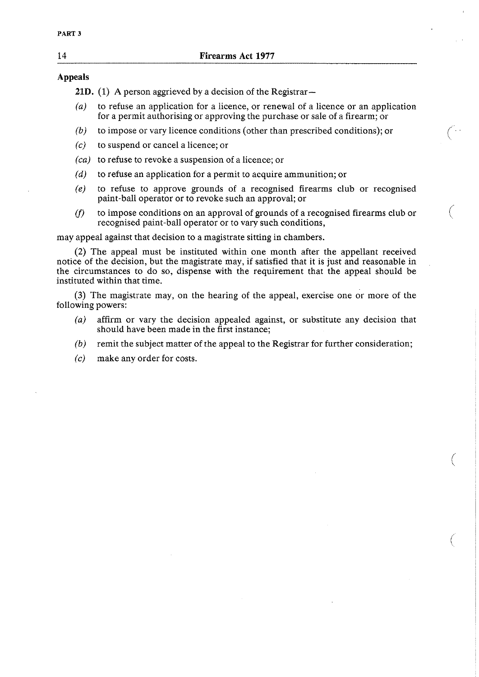## **Appeals**

21D. (1) A person aggrieved by a decision of the Registrar-

- (a) to refuse an application for a licence, or renewal of a licence or an application for a permit authorising or approving the purchase or sale of a firearm; or
- *(b)* to impose or vary licence conditions (other than prescribed conditions); or
- $(c)$  to suspend or cancel a licence; or
- (ca) to refuse to revoke a suspension of a licence; or
- $(d)$  to refuse an application for a permit to acquire ammunition; or
- *(e)* to refuse to approve grounds of a recognised firearms club or recognised paint-ball operator or to revoke such an approval; or
- $(f)$  to impose conditions on an approval of grounds of a recognised firearms club or recognised paint-ball operator or to vary such conditions,

may appeal against that decision to a magistrate sitting in chambers.

**(2)** The appeal must be instituted within one month after the appellant received notice of the decision, but the magistrate may, if satisfied that it is just and reasonable in the circumstances to do so, dispense with the requirement that the appeal should be instituted within that time.

**(3)** The magistrate may, on the hearing of the appeal, exercise one or more of the following powers:

- (a) affirm or vary the decision appealed against, or substitute any decision that should have been made in the first instance;
- *(b)* remit the subject matter of the appeal to the Registrar for further consideration;
- (c) make any order for costs.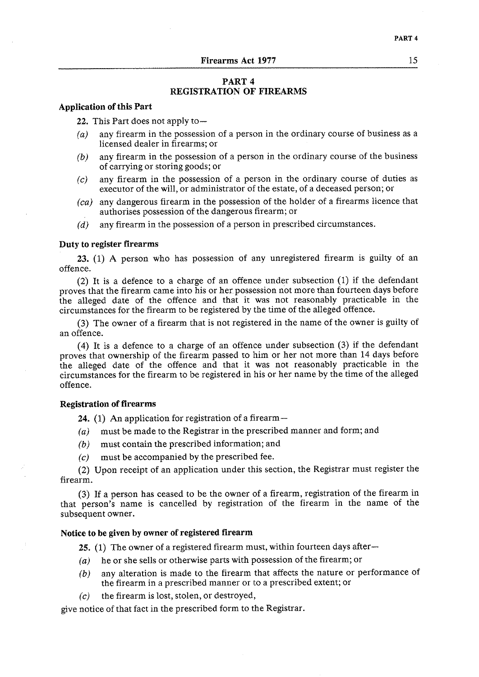### **PART 4 REGISTRATION OF FIREARMS**

#### **Application of this Part**

**22.** This Part does not apply to -

- *(a)* any firearm in the possession of a person in the ordinary course of business as a licensed dealer in firearms; or
- *(b)* any firearm in the possession of a person in the ordinary course of the business of carrying or storing goods; or
- (c) any firearm in the possession of a person in the ordinary course of duties as executor of the will, or administrator of the estate, of a deceased person; or
- *(ca)* any dangerous firearm in the possession of the holder of a firearms licence that authorises possession of the dangerous firearm; or
- (d) any firearm in the possession of a person in prescribed circumstances.

### **Duty to register firearms**

**23.** (1) **A** person who has possession of any unregistered firearm is guilty of an offence.

(2) It is a defence to a charge of an offence under subsection (1) if the defendant proves that the firearm came into his or her possession not more than fourteen days before the alleged date of the offence and that it was not reasonably practicable in the circumstances for the firearm to be registered by the time of the alleged offence.

(3) The owner of a firearm that is not registered in the name of the owner is guilty of an offence.

(4) It is a defence to a charge of an offence under subsection (3) if the defendant proves that ownership of the firearm passed to him or her not more than 14 days before the alleged date of the offence and that it was not reasonably practicable in the circumstances for the firearm to be registered in his or her name by the time of the alleged offence.

#### **Registration of firearms**

**24. (1)** An application for registration of a firearm-

- (a) must be made to the Registrar in the prescribed manner and form; and
- *(b)* must contain the prescribed information; and
- *(c)* must be accompanied by the prescribed fee.

(2) Upon receipt of an application under this section, the Registrar must register the firearm.

**(3)** If a person has ceased to be the owner of a firearm, registration of the firearm in that person's name is cancelled by registration of the firearm in the name of the subsequent owner.

### **Notice to be given by owner of registered firearm**

**25.** (1) The owner of a registered firearm must, within fourteen days after-

- $(a)$  he or she sells or otherwise parts with possession of the firearm; or
- *(b)* any alteration is made to the firearm that affects the nature or performance of the firearm in a prescribed manner or to a prescribed extent; or
- $(c)$  the firearm is lost, stolen, or destroyed,

give notice of that fact in the prescribed form to the Registrar.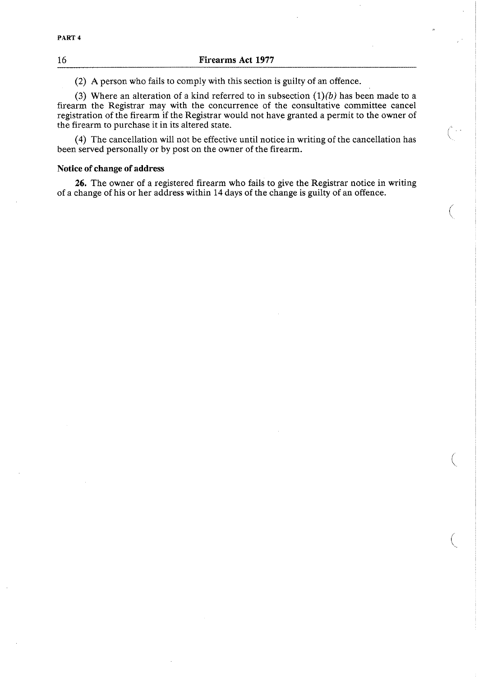(2) A person who fails to comply with this section is guilty of an offence.

(3) Where an alteration of a kind referred to in subsection  $(1)(b)$  has been made to a firearm the Registrar may with the concurrence of the consultative committee cancel registration of the firearm if the Registrar would not have granted a permit to the owner of the firearm to purchase it in its altered state.

(4) The cancellation will not be effective until notice in writing of the cancellation has been served personally or by post on the owner of the firearm.

### **Notice of change of address**

**26.** The owner of a registered firearm who fails to give the Registrar notice in writing of a change of his or her address within 14 days of the change is guilty of an offence.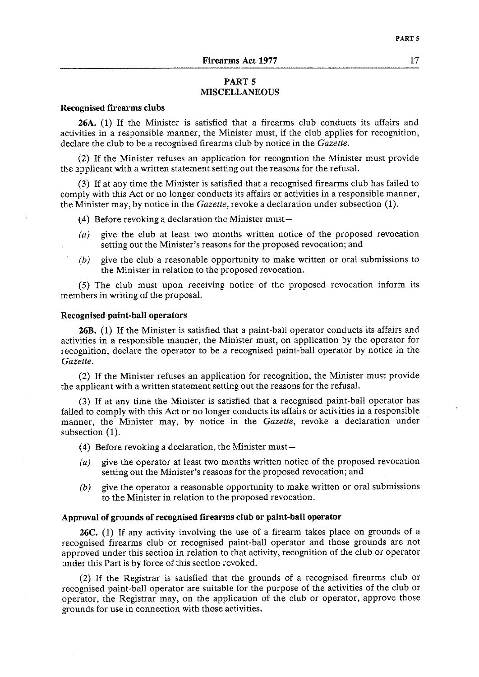### **PART 5 MISCELLANEOUS**

#### **Recognised firearms clubs**

**26A.** (1) If the Minister is satisfied that a firearms club conducts its affairs and activities in a responsible manner, the Minister must, if the club applies for recognition, declare the club to be a recognised firearms club by notice in the *Gazette*.

(2) If the Minister refuses an application for recognition the Minister must provide the applicant with a written statement setting out the reasons for the refusal.

(3) If at any time the Minister is satisfied that a recognised firearms club has failed to comply with this Act or no longer conducts its affairs or activities in a responsible manner, the Minister may, by notice in the *Gazette,* revoke a declaration under subsection (1).

- (4) Before revoking a declaration the Minister must-
- *(a)* give the club at least two months written notice of the proposed revocation setting out the Minister's reasons for the proposed revocation; and
- *(b)* give the club a reasonable opportunity to make written or oral submissions to the Minister in relation to the proposed revocation.

(5) The club must upon receiving notice of the proposed revocation inform its members in writing of the proposal.

#### **Recognised paint-ball operators**

**26B.** (1) If the Minister is satisfied that a paint-ball operator conducts its affairs and activities in a responsible manner, the Minister must, on application by the operator for recognition, declare the operator to be a recognised paint-ball operator by notice in the *Gazette.* 

(2) If the Minister refuses an application for recognition, the Minister must provide the applicant with a written statement setting out the reasons for the refusal.

(3) If at any time the Minister is satisfied that a recognised paint-ball operator has failed to comply with this Act or no longer conducts its affairs or activities in a responsible manner, the Minister may, by notice in the *Gazette,* revoke a declaration under subsection (1).

- (4) Before revoking a declaration, the Minister must-
- (a) give the operator at least two months written notice of the proposed revocation setting out the Minister's reasons for the proposed revocation; and
- *(b)* give the operator a reasonable opportunity to make written or oral submissions to the Minister in relation to the proposed revocation.

#### **Approval of grounds of recognised firearms club or paint-ball operator**

**26C.** (1) If any activity involving the use of a firearm takes place on grounds of a recognised firearms club or recognised paint-ball operator and those grounds are not approved under this section in relation to that activity, recognition of the club or operator under this Part is by force of this section revoked.

(2) If the Registrar is satisfied that the grounds of a recognised firearms club or recognised paint-ball operator are suitable for the purpose of the activities of the club or operator, the Registrar may, on the application of the club or operator, approve those grounds for use in connection with those activities.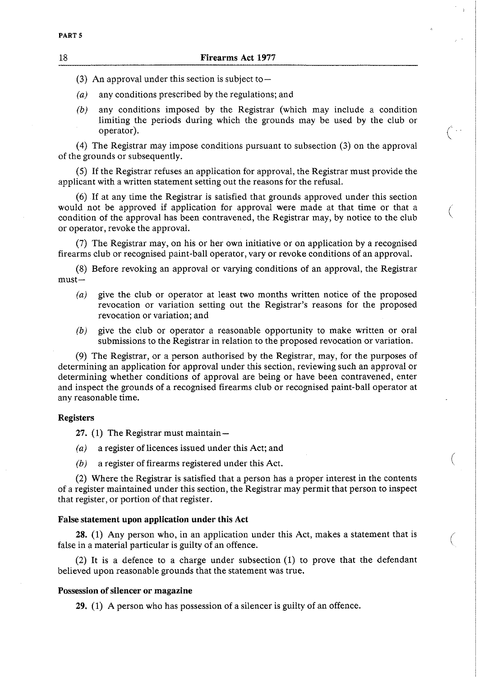(3) An approval under this section is subject to-

*(a)* any conditions prescribed by the regulations; and

*(b)* any conditions imposed by the Registrar (which may include a condition limiting the periods during which the grounds may be used by the club or operator). operator).  $\left(\begin{array}{c} \cdot \\ \cdot \end{array}\right)$ 

(4) The Registrar may impose conditions pursuant to subsection **(3)** on the approval of the grounds or subsequently.

(5) If the Registrar refuses an application for approval, the Registrar must provide the applicant with a written statement setting out the reasons for the refusal.

*(6)* If at any time the Registrar is satisfied that grounds approved under this section would not be approved if application for approval were made at that time or that a condition of the approval has been contravened, the Registrar may, by notice to the club or operator, revoke the approval.

(7) The Registrar may, on his or her own initiative or on application by a recognised firearms club or recognised paint-ball operator, vary or revoke conditions of an approval.

(8) Before revoking an approval or varying conditions of an approval, the Registrar  $must-$ 

- *(a)* give the club or operator at least two months written notice of the proposed revocation or variation setting out the Registrar's reasons for the proposed revocation or variation; and
- *(b)* give the club or operator a reasonable opportunity to make written or oral submissions to the Registrar in relation to the proposed revocation or variation.

(9) The Registrar, or a person authorised by the Registrar, may, for the purposes of determining an application for approval under this section, reviewing such an approval or determining whether conditions of approval are being or have been contravened, enter and inspect the grounds of a recognised firearms club or recognised paint-ball operator at any reasonable time.

#### **Registers**

27. (1) The Registrar must maintain -

- 
- (a) a register of licences issued under this Act; and <br>
(b) a register of firearms registered under this Act.

(2) Where the Registrar is satisfied that a person has a proper interest in the contents of a register maintained under this section, the Registrar may permit that person to inspect that register, or portion of that register.

#### **False statement upon application under this Act**

**28.** (1) Any person who, in an application under this Act, makes a statement that is false in a material particular is guilty of an offence.

(2) It is a defence to a charge under subsection (1) to prove that the defendant believed upon reasonable grounds that the statement was true.

#### **Possession of silencer or magazine**

**29.** (1) A person who has possession of a silencer is guilty of an offence.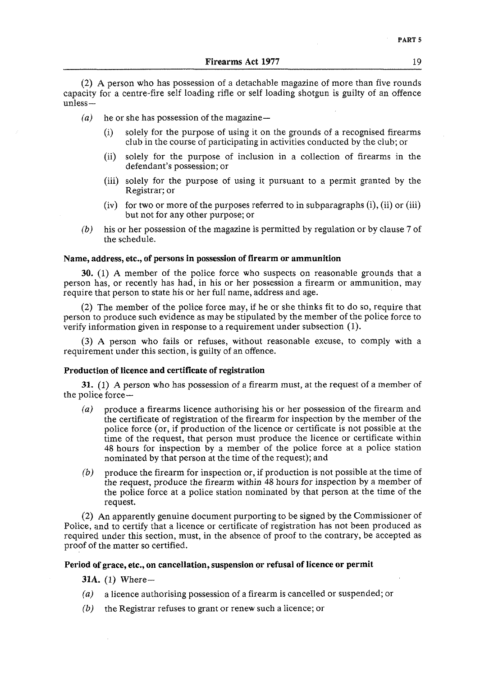(2) A person who has possession of a detachable magazine of more than five rounds capacity for a centre-fire self loading rifle or self loading shotgun is guilty of an offence unless-

- $(a)$  he or she has possession of the magazine-
	- (i) solely for the purpose of using it on the grounds of a recognised firearms club in the course of participating in activities conducted by the club; or
	- (ii) solely for the purpose of inclusion in a collection of firearms in the defendant's possession; or
	- (iii) solely for the purpose of using it pursuant to a permit granted by the Registrar; or
	- $(iv)$  for two or more of the purposes referred to in subparagraphs  $(i)$ ,  $(ii)$  or  $(iii)$ but not for any other purpose; or
- *(b)* his or her possession of the magazine is permitted by regulation or by clause **7** of the schedule.

#### **Name, address, etc., of persons in possession of firearm or ammunition**

**30.** (1) A member of the police force who suspects on reasonable grounds that a person has, or recently has had, in his or her possession a firearm or ammunition, may require that person to state his or her full name, address and age.

(2) The member of the police force may, if he or she thinks fit to do so, require that person to produce such evidence as may be stipulated by the member of the police force to verify information given in response to a requirement under subsection (1).

**(3)** A person who fails or refuses, without reasonable excuse, to comply with a requirement under this section, is guilty of an offence.

#### **Production of licence and certificate of registration**

**31.** (1) A person who has possession of a firearm must, at the request of a member of the police force-

- *(a)* produce a firearms licence authorising his or her possession of the firearm and the certificate of registration of the firearm for inspection by the member of the police force (or, if production of the licence or certificate is not possible at the time of the request, that person must produce the licence or certificate within 48 hours for inspection by a member of the police force at a police station nominated by that person at the time of the request); and
- *(b)* produce the firearm for inspection or, if production is not possible at the time of the request, produce the firearm within 48 hours for inspection by a member of the police force at a police station nominated by that person at the time of the request.

(2) An apparently genuine document purporting to be signed by the Commissioner of Police, and to certify that a licence or certificate of registration has not been produced as required under this section, must, in the absence of proof to the contrary, be accepted as proof of the matter so certified.

#### **Period of grace, etc., on cancellation, suspension or refusal of licence or permit**

**31A.** (1) Where-

- *(a)* a licence authorising possession of a firearm is cancelled or suspended; or
- *(b)* the Registrar refuses to grant or renew such a licence; or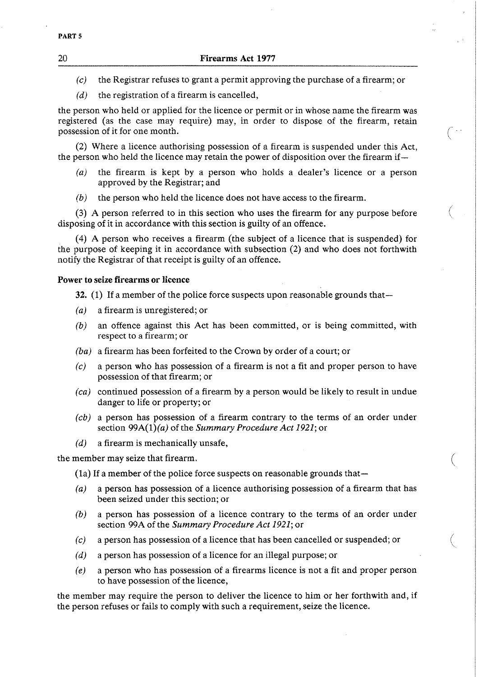- *(c)* the Registrar refuses to grant a permit approving the purchase of a firearm; or
- *(d)* the registration of a firearm is cancelled,

the person who held or applied for the licence or permit or in whose name the firearm was registered (as the case may require) may, in order to dispose of the firearm, retain possession of it for one month. (-

(2) Where a licence authorising possession of a firearm is suspended under this Act, the person who held the licence may retain the power of disposition over the firearm if-

- *(a)* the firearm is kept by a person who holds a dealer's licence or a person approved by the Registrar; and
- *(b)* the person who held the licence does not have access to the firearm.

 $(3)$  A person referred to in this section who uses the firearm for any purpose before disposing of it in accordance with this section is guilty of an offence.

(4) A person who receives a firearm (the subject of a licence that is suspended) for the purpose of keeping it in accordance with subsection (2) and who does not forthwith notify the Registrar of that receipt is guilty of an offence.

### Power to seize firearms or licence

- **32.** (1) If a member of the police force suspects upon reasonable grounds that-
- *(a)* a firearm is unregistered; or
- *(b)* an offence against this Act has been committed, or is being committed, with respect to a firearm; or
- *(ba)* a firearm has been forfeited to the Crown by order of a court; or
- *(c)* a person who has possession of a firearm is not a fit and proper person to have possession of that firearm; or
- *(ca)* continued possession of a firearm by a person would be likely to result in undue danger to life or property; or
- *(cb)* a person has possession of a firearm contrary to the terms of an order under section 99A(l)(a) of the *Summary Procedure Act* 1921; or
- *(d)* a firearm is mechanically unsafe,

the member may seize that firearm.

- (1a) If a member of the police force suspects on reasonable grounds that-
- *(a)* a person has possession of a licence authorising possession of a firearm that has been seized under this section; or
- **(b)** a person has possession of a licence contrary to the terms of an order under section 99A of the *Summary Procedure Act* 1921; or

(

- *(c)* a person has possession of a licence that has been cancelled or suspended; or
- *(d)* a person has possession of a licence for an illegal purpose; or
- *(e)* a person who has possession of a firearms licence is not a fit and proper person to have possession of the licence,

the member may require the person to deliver the licence to him or her forthwith and, if the person refuses or fails to comply with such a requirement, seize the licence.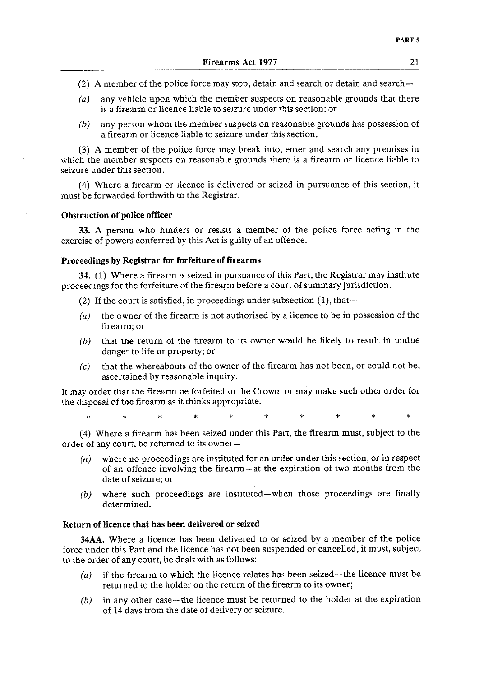- (2) A member of the police force may stop, detain and search or detain and search-
- *(a)* any vehicle upon which the member suspects on reasonable grounds that there is a firearm or licence liable to seizure under this section; or
- *(b)* any person whom the member suspects on reasonable grounds has possession of a firearm or licence liable to seizure under this section.

**(3)** A member of the police force may break into, enter and search any premises in which the member suspects on reasonable grounds there is a firearm or licence liable to seizure under this section.

(4) Where a firearm or licence is delivered or seized in pursuance of this section, it must be forwarded forthwith to the Registrar.

#### Obstruction of police officer

**33. A** person who hinders or resists a member of the police force acting in the exercise of powers conferred by this Act is guilty of an offence.

#### Proceedings **by** Registrar for forfeiture of firearms

34. (1) Where a firearm is seized in pursuance of this Part, the Registrar may institute proceedings for the forfeiture of the firearm before a court of summary jurisdiction.

- (2) If the court is satisfied, in proceedings under subsection  $(1)$ , that-
- *(a)* the owner of the firearm is not authorised by a licence to be in possession of the firearm; or
- *(b)* that the return of the firearm to its owner would be likely to result in undue danger to life or property; or
- $(c)$  that the whereabouts of the owner of the firearm has not been, or could not be, ascertained by reasonable inquiry,

it may order that the firearm be forfeited to the Crown, or may make such other order for the disposal of the firearm as it thinks appropriate.

 $\ast$  $\star$ s. ×.  $\ast$ 

(4) Where a firearm has been seized under this Part, the firearm must, subject to the order of any court, be returned to its owner-

- (a) where no proceedings are instituted for an order under this section, or in respect of an offence involving the firearm-at the expiration of two months from the date of seizure; or
- *(b)* where such proceedings are instituted-when those proceedings are finally determined.

### Return of licence that has been delivered or seized

34AA. Where a licence has been delivered to or seized by a member of the police force under this Part and the licence has not been suspended or cancelled, it must, subject to the order of any court, be dealt with as follows:

- *(a)* if the firearm to which the licence relates has been seized- the licence must be returned to the holder on the return of the firearm to its owner;
- *(b)* in any other case-the licence must be returned to the holder at the expiration of 14 days from the date of delivery or seizure.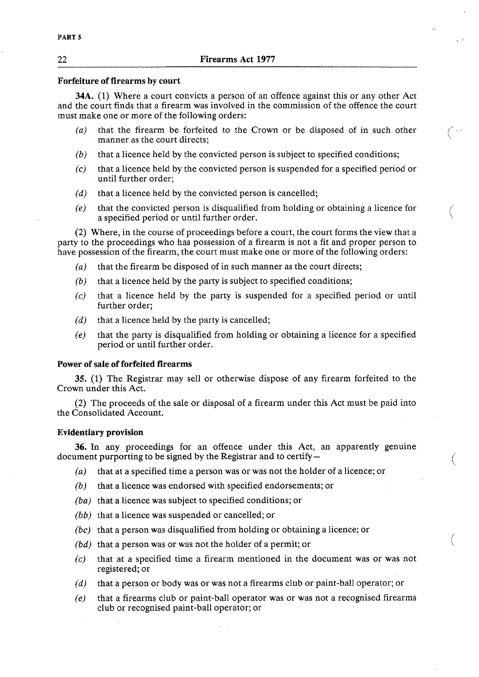#### **Forfeiture of firearms by court**

**34A.** (1) Where a court convicts a person of an offence against this or any other Act and the court finds that a firearm was involved in the commission of the offence the court must make one or more of the following orders:

- *(a)* that the firearm be forfeited to the Crown or be disposed of in such other manner as the court directs;
- *(b)* that a licence held by the convicted person is subject to specified conditions;
- *(c)* that a licence held by the convicted person is suspended for a specified period or until further order;
- *(d)* that a licence held by the convicted person is cancelled;
- *(e)* that the convicted person is disqualified from holding or obtaining a licence for a specified period or until further order.

*(2)* Where, in the course of proceedings before a court, the court forms the view that a party to the proceedings who has possession of a firearm is not a fit and proper person to have possession of the firearm, the court must make one or more of the following orders:

- *(a)* that the firearm be disposed of in such manner as the court directs;
- *(b)* that a licence held by the party is subject to specified conditions;
- $(c)$  that a licence held by the party is suspended for a specified period or until further order;
- *(d)* that a licence held by the party is cancelled;
- *(e)* that the party is disqualified from holding or obtaining a licence for a specified period or until further order.

#### **Power of sale of forfeited firearms**

**35. (1)** The Registrar may sell or otherwise dispose of any firearm forfeited to the Crown under this Act.

*(2)* The proceeds of the sale or disposal of a firearm under this Act must be paid into the Consolidated Account.

#### **Evidentiary provision**

**36.** In any proceedings for an offence under this Act, an apparently genuine document purporting to be signed by the Registrar and to certify-

- *(a)* that at a specified time a person was or was not the holder of a licence; or
- *(b)* that a licence was endorsed with specified endorsements; or
- *(ba)* that a licence was subject to specified conditions; or
- *(bb)* that a licence was suspended or cancelled; or
- *(bc)* that a person was disqualified from holding or obtaining a licence; or
- *(bd)* that a person was or was not the holder of a permit; or
- *(c)* that at a specified time a firearm mentioned in the document was or was not registered; or
- *(d)* that a person or body was or was not a firearms club or paint-ball operator; or
- *(e)* that a firearms club or paint-ball operator was or was not a recognised firearms club or recognised paint-ball operator; or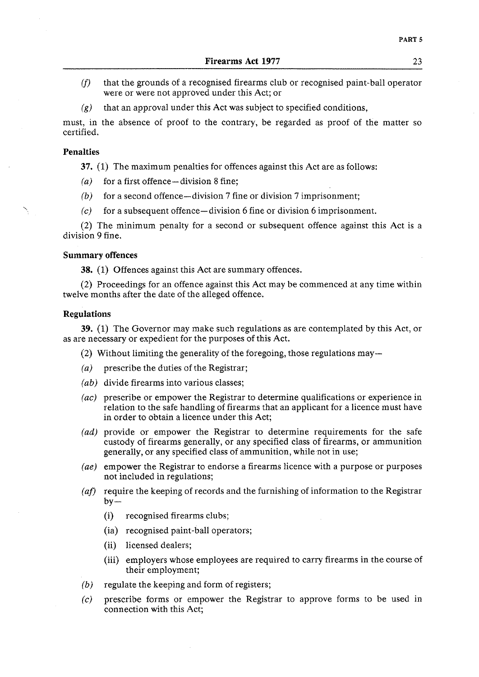- **(f)** that the grounds of a recognised firearms club or recognised paint-ball operator were or were not approved under this Act; or
- $(g)$  that an approval under this Act was subject to specified conditions,

must, in the absence of proof to the contrary, be regarded as proof of the matter so certified.

#### **Penalties**

**37.** (1) The maximum penalties for offences against this Act are as follows:

- *(a)* for a first offence-division 8 fine;
- *(b)* for a second offence-division 7 fine or division 7 imprisonment;
- <sup>x</sup>*(c)* for a subsequent offence-division 6 fine or division *6* imprisonment.

(2) The minimum penalty for a second or subsequent offence against this Act is a division 9 fine.

#### **Summary offences**

**38.** (1) Offences against this Act are summary offences.

(2) Proceedings for an offence against this Act may be commenced at any time within twelve months after the date of the alleged offence.

### **Regulations**

**39.** (1) The Governor may make such regulations as are contemplated by this Act, or as are necessary or expedient for the purposes of this Act.

- (2) Without limiting the generality of the foregoing, those regulations may—
- *(a)* prescribe the duties of the Registrar;
- *(ab)* divide firearms into various classes;
- *(ac)* prescribe or empower the Registrar to determine qualifications or experience in relation to the safe handling of firearms that an applicant for a licence must have in order to obtain a licence under this Act;
- (ad) provide or empower the Registrar to determine requirements for the safe custody of firearms generally, or any specified class of firearms, or ammunition generally, or any specified class of ammunition, whilenot in use;
- *(ae)* empower the Registrar to endorse a firearms licence with a purpose or purposes not included in regulations;
- (*af*) require the keeping of records and the furnishing of information to the Registrar by-
	- (i) recognised firearms clubs;
	- (ia) recognised paint-ball operators;
	- (ii) licensed dealers;
	- (iii) employers whose employees are required to carry firearms in the course of their employment;
- *(b)* regulate the keeping and form of registers;
- *(c)* prescribe forms or empower the Registrar to approve forms to be used in connection with this Act;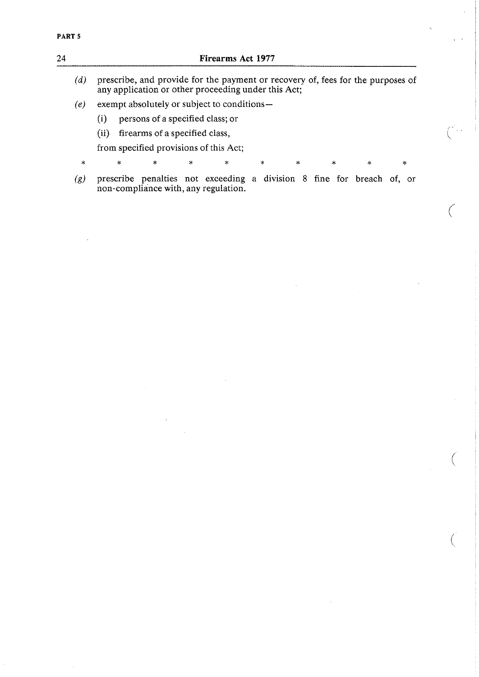# **24 Firearms Act 1977**  (d) prescribe, and provide for the payment or recovery of, fees for the purposes of any application or other proceeding under this Act; *(e)* exempt absolutely or subject to conditions- (i) persons of a specified class; or (ii) firearms of a specified class, from specified provisions of this Act; \* \* \* \* \* \* \* \* \* \* (g) prescribe penalties not exceeding a division 8 fine for breach of, or non-compliance with, any regulation.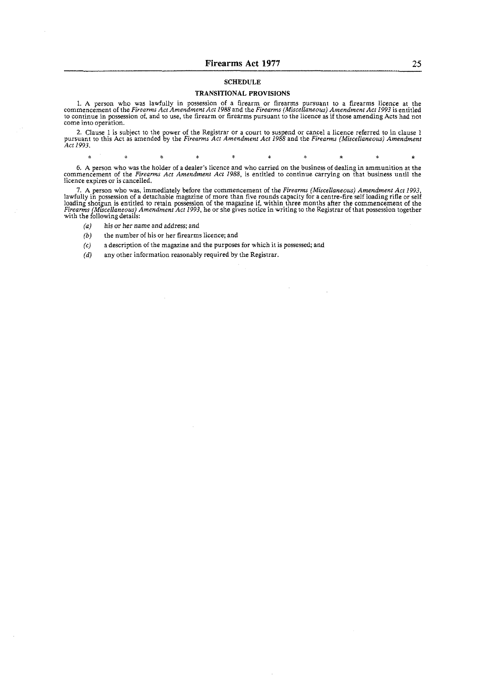#### **SCHEDULE**

#### **TRANSITIONAL PROVISIONS**

1. A person who was lawfully in possession of a firearm or firearms pursuant to a firearms licence at the commencement of the Firearms Act Amendment Act 1988 and the Firearms (Miscellaneous) Amendment Act 1993 is entitled

2. Clause 1 is subject to the power of the Registrar or a court to suspend or cancel a licence referred to in clause 1 pursuant to this Act as amended by the Firearms Act Amendment Act 1988 and the Firearms (Miscellaneous) *Acc* 1993,

 $\mathbf{x}$ 

*6.* A person who was the holder ofa dealer's iicence and who carried on the business of dealing in ammunition at the commencement of the *Firearms Act Amendment Act* 1988, is entitled to continue carrying on that business until the licence expires or is cancelled.

 $\mathbf{R}$ 

7. A person who was, immediately before the commencement of the *Firearms (Miscellaneous) Amendment Act 1993*. lawfully in possession of a detachable magazine of more than five rounds capacity for a centre-fire self loading rifle or self<br>loading shotgun is entitled to retain possession of the magazine if, within three months after

- *(a)* his or her name and address; and
- *(b)* the number of his or her firearms licence: and

 $\frac{1}{2}$ 

*(c)* a description of the magazine and the purposes for which it is possessed; and

 $\star$ 

any other information reasonably required by the Registrar.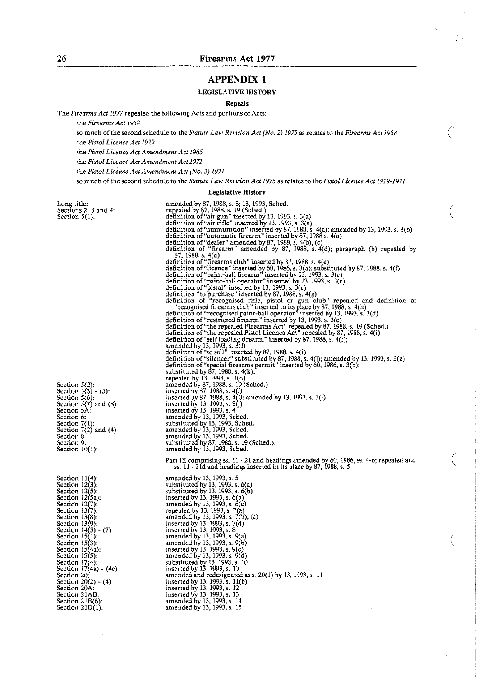$\mathbf{r}$ 

### **APPENDIX 1**

#### LEGISLATIVE HISTORY

#### Repeals

The *Firearms Act 1977* repealed the following Acts and portions of Acts:

the *Fiream Act 1958* 

so much of the second schedule to the *Statute Law Revision Act (No. 2) 1975* as relates to the *Firearms Act 1958* the *Pistol Licence Act 1529* 

the *Pistol Licence Act Amendment Act 1965* 

the *Pislol Licence Act Amendment Act 1571* 

the *Pistol Licence Act Amendment Act (No. 2) 1571* 

so much of the second schedule to the *Statute Law Revision Act 1575 as* relates to the *Pistol Licence Act 1925-1971* 

#### Legislative History

amended by 13,1993, s. 14 amended by 13, 1993, s. 15

Long title: Sections 2, 3 and 4: Section 5(1):

| Section 5(2):<br>Section 5(3) - (5):  |
|---------------------------------------|
|                                       |
| Section 5(6):                         |
| Section $5(7)$ and (8)                |
| Section 5À:                           |
| Section 6:                            |
|                                       |
| Section 7(1):<br>Section 7(2) and (4) |
| Section 8:                            |
| Section 9:                            |
| Section 10(1):                        |
|                                       |

Section  $11(4)$ : Section  $12(3)$ :<br>Section  $12(5)$ : Section 12(5a):<br>Section 12(7):<br>Section 13(7):<br>Section 13(8):<br>Section 13(8):<br>Section 14(5) - (7)<br>Section 15(1): Section  $15(3)$ :<br>Section  $15(4a)$ : Section  $15(5)$ : Section  $17(4)$ : Section  $17(4a) - (4e)$ Section 20: Section 20(2) - (4) Section 20A: Section 21AB: Section 21B(6):<br>Section 21D(1):

amended by 87, 1988, s. 3; 13, 1993, Sched.<br>repealed by 87, 1988, s. 19 (Sched.)<br>definition of "air gun" inserted by 13, 1993, s. 3(a)<br>definition of "air rifle" inserted by 13, 1993, s. 3(a)<br>definition of "ammunition" inse definition of "dealer" amended by 87, 1988, s. 4(b), (c) definition of "firearm" amended by 87, 1988, s. 4(d); paragraph (b) repealed by 87, 1988, s. 4(d)<br>definition of "firearms club" inserted by 87, 1988, s. 4(e)<br>definition of "firearms club" inserted by 87, 1988, s. 4(e)<br>def definition of "paint-ball operator" inserted by 13, 1993. s. 3(c) definition of "pistol" inserted by 13. 1993. s. 3(c) definition "to purchase" inserted by 87,1988, s. 4(g) definition of "recognised rifle, pistol or gun club" repealed and definition of "recognised firearms club" inserted in its place by 87, 1988, s.  $4(h)$ <br>definition of "recognised paint-ball operator" inserted by 13, 1993, s definition of "restricted firearm" inserted by 13, 1993, s. 3(e)<br>definition of "the repealed Firearms Act" repealed by 87, 1988, s. 19 (Sched.)<br>definition of "the repealed Pistol Licence Act" repealed by 87, 1988, s. 4(i)<br> amended by 13, 1993, s.  $3(f)$ <br>definition of "to sell" inserted by 87, 1988, s. 4(i) definition of "silencer" substituted by 87, 1988, s. 4(j); amended by 13, 1993, s. 3(g) definition of "special firearms permit" inserted by 60, 1986, s. 3(b); definition of "special firearms perm<br>substituted by 87, 1988, s. 4(k);<br>repealed by 13, 1993, s. 3(h)<br>amended by 87, 1988, s. 19 (Sched.)<br>inserted by 87, 1988, s. 4(*l*) inserted by 87, 1988, s. 4*(l)*; amended by 13, 1993, s. 3(i) inserted by 13, 1993, s. 3(j)<br>inserted by 13, 1993, s. 4 substituted by 87, 1988, s. 19 (Sched.). amended by 13, 1993, Sched. Part III comprising ss. 11 - 21 and headings amended by 60, 1986, ss. 4-6; repealed and ss. 11 - 21d and headings inserted in its place by 87, 1988, s. 5 amended by 13, 1993, s. 5 substituted by 13, 1993, s. 6(a)<br>substituted by 13, 1993, s. 6(b)<br>inserted by 13, 1993, s. 6(b)<br>amended by 13, 1993, s. 6(c)<br>amended by 13, 1993, s. 7(a)<br>repealed by 13, 1993, s. 7(b), (c)<br>inserted by 13, 1993, s. 7(d)<br>ins amended by 13,1993, s. 9(b) inserted bv 13. 1993. s. 9(c) amended **6y** 13, 1993, s. **9(h)** substituted by 13, 1993, s. 10 inserted by 13, 1993, s. 10 amended and redesignated ass. 20(1) by 13. 1993. s. 11 inserted by 13, 1993, s. 11(b)<br>inserted by 13, 1993, s. 12<br>inserted by 13, 1993, s. 13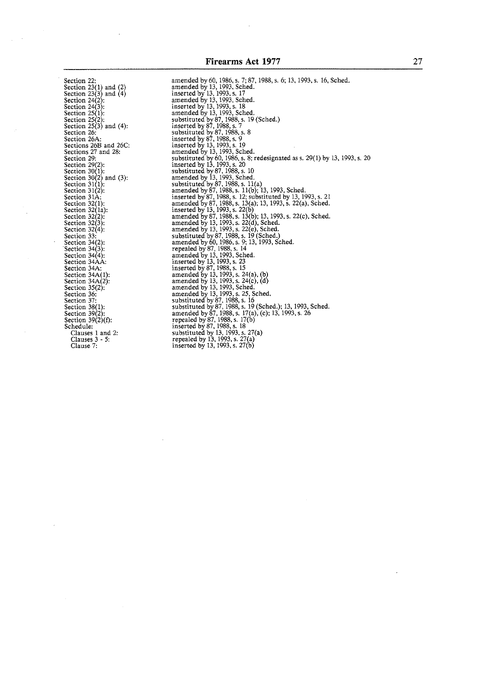Section  $25(2)$ :<br>Section 25(3) and (4): Section 25(2):<br>Section 25(3) and (4):<br>Section 26A:<br>Sections 26B and 26C:<br>Sections 27 and 28: Sections 27 and 28:<br>Section 29:<br>Section 29:<br>Section 30(1):<br>Section 30(2) and (3):<br>Section 31(1):<br>Section 312:<br>Section 31A: Section 32(1):<br>Section 32(1a): section 32(4):<br>Section 33:<br>Section 34(2): Section  $34(3)$ : Section 34(4): Section 34AA: Section 34A: Section  $34A(1)$ :<br>Section  $34A(2)$ :<br>Section  $35(2)$ : Section 36: Section 37: Section  $38(1)$ : Section 39(2):<br>Section 39(2)(f): Schedule: Clauses 1 and 2: Clauses 3 - 5. Clause 7:

amended by 60,1986,s. 7; 87,1988, s. *6:* 13.1993. s. 16. Sched. amended by 13,1993. Sched. inserted by 13, 1993,s. 17 amended by 13, 1993, Sched.<br>inserted by 13, 1993, s. 18<br>amended by 13, 1993, Sched. substituted by 87, 1988, s. 19 (Sched.)<br>inserted by 87, 1988, s. 7<br>substituted by 87, 1988, s. 8 inserted by 87, 1988, s. 9 inserted by 13, 1993, s. 19 amended by 13, 1993, Sched. substituted by 60, 1986,s. **8:** redesignated as 5. 29(1) by 13, 1993, s. 20 inserted by 13, 1993, s. 20<br>substituted by 87, 1988, s. 10<br>amended by 13, 1993, Sched.<br>substituted by 87, 1988, s. 11(a)<br>amended by 87, 1988, s. 11(b); 13, 1993, Sched. inserted by 87, 1988, s. 12; substituted by 13, 1993, s. 21<br>amended by 87, 1988, s. 13(a); 13, 1993, s. 22(a), Sched. inserted by 13, 1993, s. 22(b)<br>amended by 87, 1988, s. 13(b)<br>amended by 13, 1993, s. 22(d)<br>amended by 13, 1993, s. 22(e) repealed by 87, 1988, s. 14 substituted by 87,1988, s. 19 (Sched.) amended by 60,1986. s. 9; 13,1993, Sched. amended by 13, 1993, Sched.<br>inserted by 13, 1993, s. 15<br>inserted by 13, 1993, s. 24(a), (b)<br>amended by 13, 1993, s. 24(c), (d)<br>amended by 13, 1993, Sched.<br>amended by 13, 1993, s. 25, Sched. substituted by 87, 1988,s. 16 substituted by 87.1988,s. 19 (Sched.): 13, 1993, Sched. amended by 87. 1988, s. 17(a), (c): 13, 1993. s. 26 repealed by 87, 1988. s. 17(b) inserted by 87, 1988,s. 18 substituted by 13. 1993,s. 27(a) repealed by 13, 1993. s. 27 a) inserted by 13. 1993. s. 27( **6** )